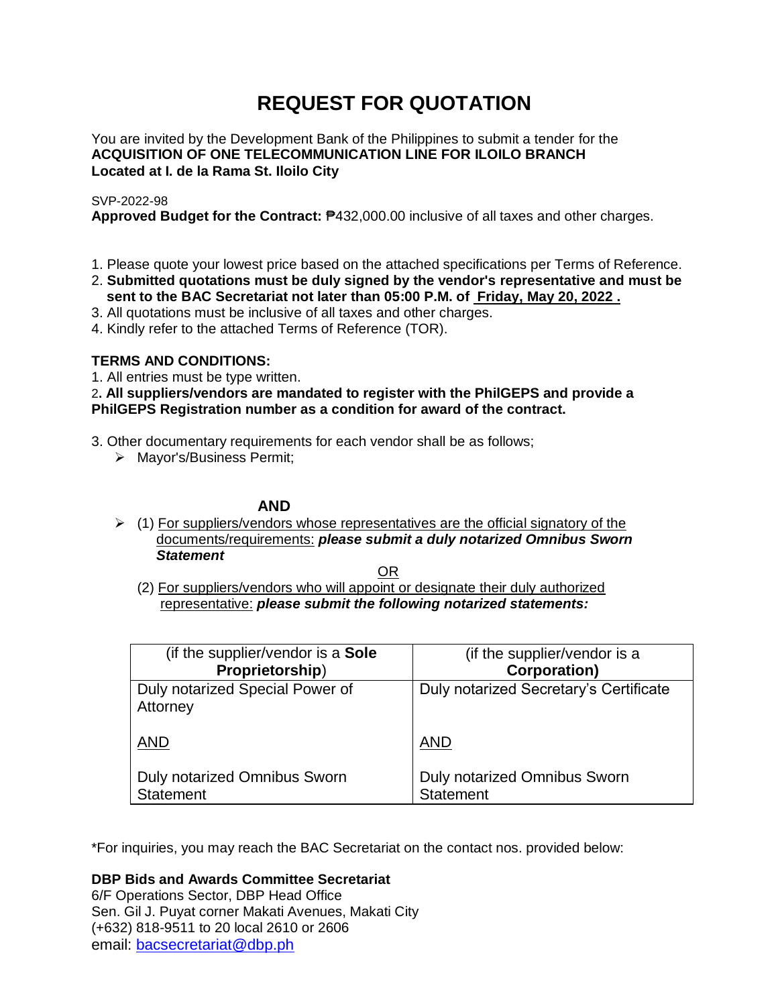# **REQUEST FOR QUOTATION**

You are invited by the Development Bank of the Philippines to submit a tender for the **ACQUISITION OF ONE TELECOMMUNICATION LINE FOR ILOILO BRANCH Located at I. de la Rama St. Iloilo City**

# SVP-2022-98

**Approved Budget for the Contract:** ₱432,000.00 inclusive of all taxes and other charges.

- 1. Please quote your lowest price based on the attached specifications per Terms of Reference.
- 2. **Submitted quotations must be duly signed by the vendor's representative and must be sent to the BAC Secretariat not later than 05:00 P.M. of Friday, May 20, 2022 .**
- 3. All quotations must be inclusive of all taxes and other charges.
- 4. Kindly refer to the attached Terms of Reference (TOR).

# **TERMS AND CONDITIONS:**

1. All entries must be type written.

2**. All suppliers/vendors are mandated to register with the PhilGEPS and provide a PhilGEPS Registration number as a condition for award of the contract.**

- 3. Other documentary requirements for each vendor shall be as follows;
	- > Mayor's/Business Permit;

# **AND**

 $\geq$  (1) For suppliers/vendors whose representatives are the official signatory of the documents/requirements: *please submit a duly notarized Omnibus Sworn Statement*

<u>OR Starting and the Starting OR Starting</u>

(2) For suppliers/vendors who will appoint or designate their duly authorized representative: *please submit the following notarized statements:*

| (if the supplier/vendor is a Sole                | (if the supplier/vendor is a                     |
|--------------------------------------------------|--------------------------------------------------|
| Proprietorship)                                  | <b>Corporation)</b>                              |
| Duly notarized Special Power of<br>Attorney      | Duly notarized Secretary's Certificate           |
| <b>AND</b>                                       | <b>AND</b>                                       |
| Duly notarized Omnibus Sworn<br><b>Statement</b> | Duly notarized Omnibus Sworn<br><b>Statement</b> |

\*For inquiries, you may reach the BAC Secretariat on the contact nos. provided below:

**DBP Bids and Awards Committee Secretariat** 

6/F Operations Sector, DBP Head Office Sen. Gil J. Puyat corner Makati Avenues, Makati City (+632) 818-9511 to 20 local 2610 or 2606 email: [bacsecretariat@dbp.ph](mailto:bacsecretariat@dbp.ph)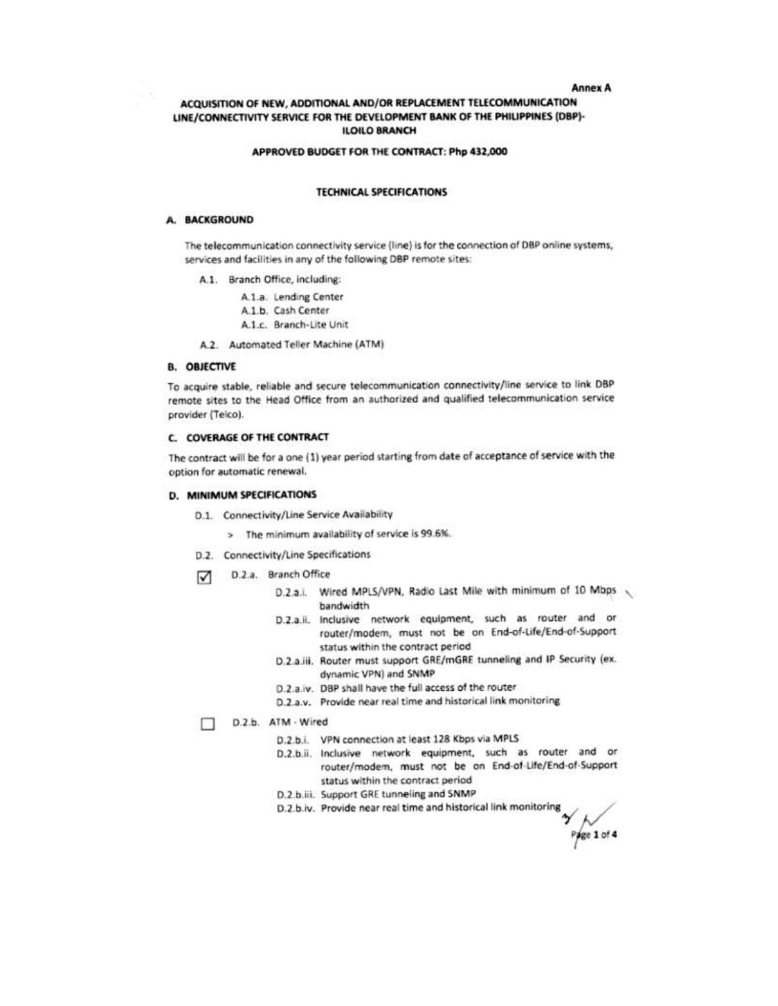#### **Annex A**

## ACQUISITION OF NEW, ADDITIONAL AND/OR REPLACEMENT TELECOMMUNICATION LINE/CONNECTIVITY SERVICE FOR THE DEVELOPMENT BANK OF THE PHILIPPINES (DBP)-**ILOILO BRANCH**

#### APPROVED BUDGET FOR THE CONTRACT: Php 432,000

#### **TECHNICAL SPECIFICATIONS**

### A. BACKGROUND

The telecommunication connectivity service (line) is for the connection of DBP online systems, services and facilities in any of the following DBP remote sites:

- A.1. Branch Office, including:
	- A.1.a. Lending Center
	- A.1.b. Cash Center
	- A.1.c. Branch-Lite Unit
- A.2. Automated Teller Machine (ATM)

#### **B. OBJECTIVE**

To acquire stable, reliable and secure telecommunication connectivity/line service to link DBP remote sites to the Head Office from an authorized and qualified telecommunication service provider (Telco).

#### **C. COVERAGE OF THE CONTRACT**

The contract will be for a one (1) year period starting from date of acceptance of service with the option for automatic renewal.

## D. MINIMUM SPECIFICATIONS

- D.1. Connectivity/Line Service Availability
	- > The minimum availability of service is 99.6%.
- D.2. Connectivity/Line Specifications
- D.2.a. Branch Office
	- D.2.a.i. Wired MPLS/VPN, Radio Last Mile with minimum of 10 Mbps bandwidth
	- D.2.a.ii. Inclusive network equipment, such as router and or router/modem, must not be on End-of-Life/End-of-Support status within the contract period
	- D.2.a.iii. Router must support GRE/mGRE tunneling and IP Security (ex. dynamic VPN) and SNMP
	- D.2.a.iv. DBP shall have the full access of the router
	- D.2.a.v. Provide near real time and historical link monitoring

D.2.b. ATM - Wired п

- D.2.b.i. VPN connection at least 128 Kbps via MPLS
- D.2.b.ii. Inclusive network equipment, such as router and or router/modem, must not be on End-of-Life/End-of-Support status within the contract period
- D.2.b.iii. Support GRE tunneling and SNMP
- D.2.b.iv. Provide near real time and historical link monitoring

Page 1 of 4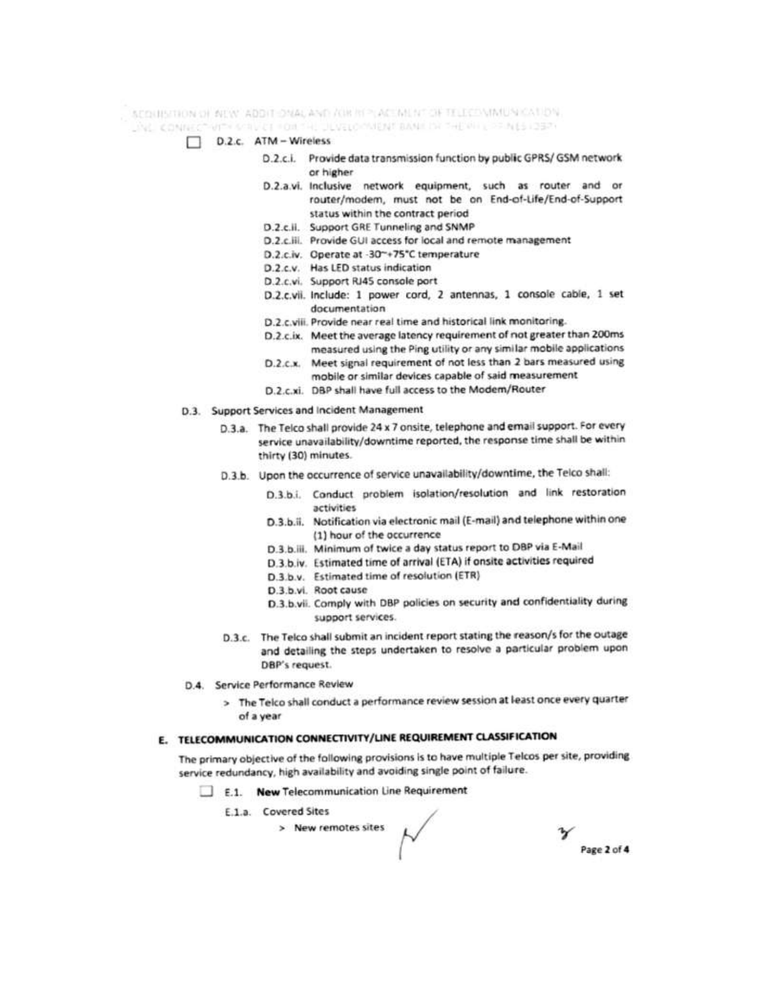SCOURS THON OF ARW. ADDITIONAL AND ACRE REPORT OF THE COMMUNICATION.

AND CONNECTIVITY STIVICE FOR THE DEVELOPMENT BANK OF THE WILL TEM (51257)

- D.2.c. ATM Wireless
	- D.2.c.i. Provide data transmission function by public GPRS/ GSM network or higher
	- D.2.a.vi. Inclusive network equipment, such as router and or router/modem, must not be on End-of-Life/End-of-Support status within the contract period
	- D.2.c.ii. Support GRE Tunneling and SNMP
	- D.2.c.iii. Provide GUI access for local and remote management
	- D.2.c.iv. Operate at -30~+75°C temperature
	- D.2.c.v. Has LED status indication
	- D.2.c.vi. Support RJ45 console port
	- D.2.c.vii. Include: 1 power cord, 2 antennas, 1 console cable, 1 set documentation
	- D.2.c.viii. Provide near real time and historical link monitoring.
	- D.2.c.ix. Meet the average latency requirement of not greater than 200ms measured using the Ping utility or any similar mobile applications
	- D.2.c.x. Meet signal requirement of not less than 2 bars measured using mobile or similar devices capable of said measurement
	- D.2.c.xi. DBP shall have full access to the Modem/Router
- D.3. Support Services and Incident Management
	- D.3.a. The Telco shall provide 24 x 7 onsite, telephone and email support. For every service unavailability/downtime reported, the response time shall be within thirty (30) minutes.
	- D.3.b. Upon the occurrence of service unavailability/downtime, the Telco shall:
		- D.3.b.i. Conduct problem isolation/resolution and link restoration activities
		- D.3.b.ii. Notification via electronic mail (E-mail) and telephone within one (1) hour of the occurrence
		- D.3.b.iii. Minimum of twice a day status report to DBP via E-Mail
		- D.3.b.iv. Estimated time of arrival (ETA) if onsite activities required
		- D.3.b.v. Estimated time of resolution (ETR)
		- D.3.b.vi. Root cause
		- D.3.b.vii. Comply with DBP policies on security and confidentiality during support services.
	- D.3.c. The Telco shall submit an incident report stating the reason/s for the outage and detailing the steps undertaken to resolve a particular problem upon DBP's request.
- D.4. Service Performance Review
	- > The Telco shall conduct a performance review session at least once every quarter of a year

# E. TELECOMMUNICATION CONNECTIVITY/LINE REQUIREMENT CLASSIFICATION

The primary objective of the following provisions is to have multiple Telcos per site, providing service redundancy, high availability and avoiding single point of failure.

- E.1. New Telecommunication Line Requirement
	- E.1.a. Covered Sites

> New remotes sites

Page 2 of 4

ν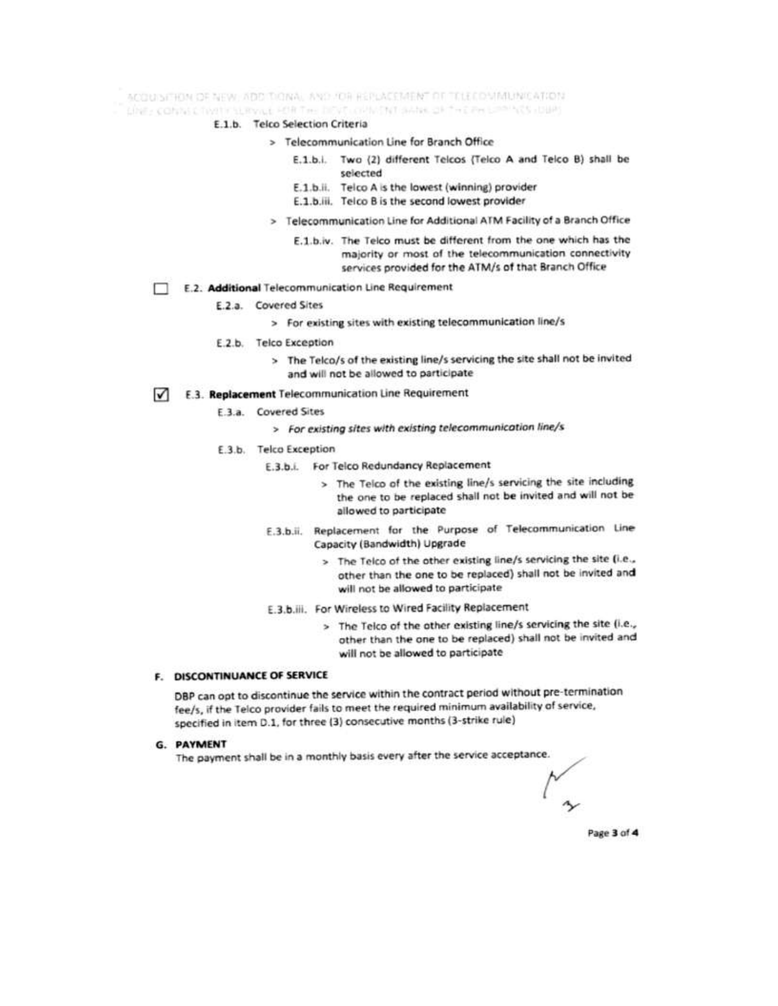ACCUISITION OF NEW ADDITIONAL AND FOR REPLACEMENT OF TELECOMMUNICATION.

Line - contact hystics anywe FORTHE DEVELOPMENT SANK OF THE PHILIPPINES (DBP)

- E.1.b. Telco Selection Criteria
	- > Telecommunication Line for Branch Office
		- E.1.b.i. Two (2) different Telcos (Telco A and Telco B) shall be selected
		- E.1.b.ii. Telco A is the lowest (winning) provider
		- E.1.b.iii. Telco B is the second lowest provider
	- > Telecommunication Line for Additional ATM Facility of a Branch Office
		- E.1.b.iv. The Telco must be different from the one which has the majority or most of the telecommunication connectivity services provided for the ATM/s of that Branch Office
- E.2. Additional Telecommunication Line Requirement
	- E.2.a. Covered Sites
		- > For existing sites with existing telecommunication line/s
	- E.2.b. Telco Exception
		- > The Telco/s of the existing line/s servicing the site shall not be invited and will not be allowed to participate
- E.3. Replacement Telecommunication Line Requirement  $\sqrt{ }$ 
	- E.3.a. Covered Sites
		- > For existing sites with existing telecommunication line/s
	- E.3.b. Telco Exception
		- E.3.b.i. For Telco Redundancy Replacement
			- > The Telco of the existing line/s servicing the site including the one to be replaced shall not be invited and will not be allowed to participate
		- E.3.b.ii. Replacement for the Purpose of Telecommunication Line Capacity (Bandwidth) Upgrade
			- > The Telco of the other existing line/s servicing the site (i.e., other than the one to be replaced) shall not be invited and will not be allowed to participate
		- E.3.b.iii. For Wireless to Wired Facility Replacement
			- > The Telco of the other existing line/s servicing the site (i.e., other than the one to be replaced) shall not be invited and will not be allowed to participate

#### **F. DISCONTINUANCE OF SERVICE**

DBP can opt to discontinue the service within the contract period without pre-termination fee/s, if the Telco provider fails to meet the required minimum availability of service, specified in item D.1, for three (3) consecutive months (3-strike rule)

**G. PAYMENT** 

The payment shall be in a monthly basis every after the service acceptance.

Page 3 of 4